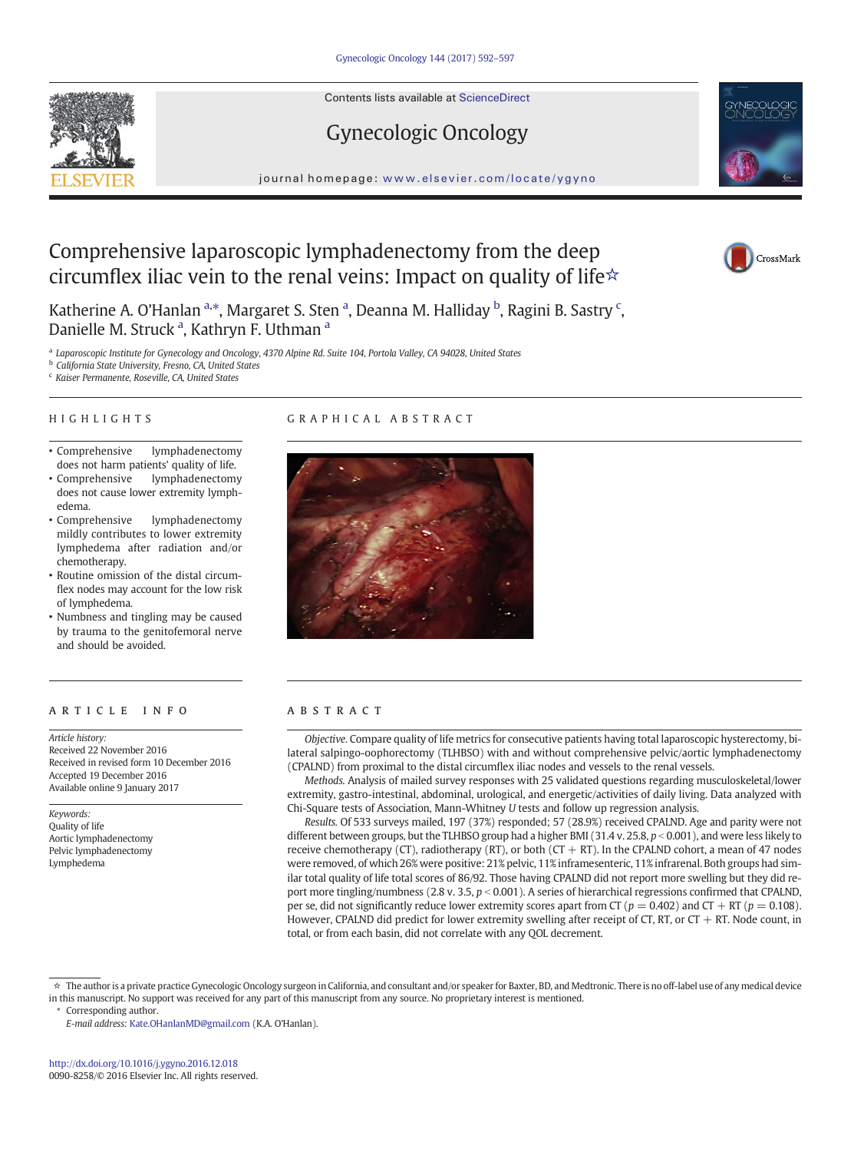Contents lists available at ScienceDirect



# journal homepage: <www.elsevier.com/locate/ygyno>

Gynecologic Oncology

# Comprehensive laparoscopic lymphadenectomy from the deep circumflex iliac vein to the renal veins: Impact on quality of life $\star$



Katherine A. O'Hanlan <sup>a,\*</sup>, Margaret S. Sten <sup>a</sup>, Deanna M. Halliday <sup>b</sup>, Ragini B. Sastry <sup>c</sup>, Danielle M. Struck<sup>a</sup>, Kathryn F. Uthman<sup>a</sup>

a Laparoscopic Institute for Gynecology and Oncology, 4370 Alpine Rd. Suite 104, Portola Valley, CA 94028, United States

<sup>b</sup> California State University, Fresno, CA, United States

<sup>c</sup> Kaiser Permanente, Roseville, CA, United States

# HIGHLIGHTS

# GRAPHICAL ABSTRACT

- Comprehensive lymphadenectomy does not harm patients' quality of life.
- Comprehensive lymphadenectomy does not cause lower extremity lymphedema.
- Comprehensive lymphadenectomy mildly contributes to lower extremity lymphedema after radiation and/or chemotherapy.
- Routine omission of the distal circumflex nodes may account for the low risk of lymphedema.
- Numbness and tingling may be caused by trauma to the genitofemoral nerve and should be avoided.

# ARTICLE INFO ABSTRACT

Article history: Received 22 November 2016 Received in revised form 10 December 2016 Accepted 19 December 2016 Available online 9 January 2017

Keywords: Quality of life Aortic lymphadenectomy Pelvic lymphadenectomy Lymphedema



Objective. Compare quality of life metrics for consecutive patients having total laparoscopic hysterectomy, bilateral salpingo-oophorectomy (TLHBSO) with and without comprehensive pelvic/aortic lymphadenectomy (CPALND) from proximal to the distal circumflex iliac nodes and vessels to the renal vessels.

Methods. Analysis of mailed survey responses with 25 validated questions regarding musculoskeletal/lower extremity, gastro-intestinal, abdominal, urological, and energetic/activities of daily living. Data analyzed with Chi-Square tests of Association, Mann-Whitney U tests and follow up regression analysis.

Results. Of 533 surveys mailed, 197 (37%) responded; 57 (28.9%) received CPALND. Age and parity were not different between groups, but the TLHBSO group had a higher BMI (31.4 v. 25.8,  $p < 0.001$ ), and were less likely to receive chemotherapy (CT), radiotherapy (RT), or both (CT + RT). In the CPALND cohort, a mean of 47 nodes were removed, of which 26% were positive: 21% pelvic, 11% inframesenteric, 11% infrarenal. Both groups had similar total quality of life total scores of 86/92. Those having CPALND did not report more swelling but they did report more tingling/numbness (2.8 v. 3.5,  $p < 0.001$ ). A series of hierarchical regressions confirmed that CPALND, per se, did not significantly reduce lower extremity scores apart from CT ( $p = 0.402$ ) and CT + RT ( $p = 0.108$ ). However, CPALND did predict for lower extremity swelling after receipt of CT, RT, or CT  $+$  RT. Node count, in total, or from each basin, did not correlate with any QOL decrement.

<sup>☆</sup> The author is a private practice Gynecologic Oncology surgeon in California, and consultant and/or speaker for Baxter, BD, and Medtronic. There is no off-label use of any medical device in this manuscript. No support was received for any part of this manuscript from any source. No proprietary interest is mentioned.

Corresponding author.

E-mail address: [Kate.OHanlanMD@gmail.com](mailto:Kate.OHanlanMD@gmail.com) (K.A. O'Hanlan).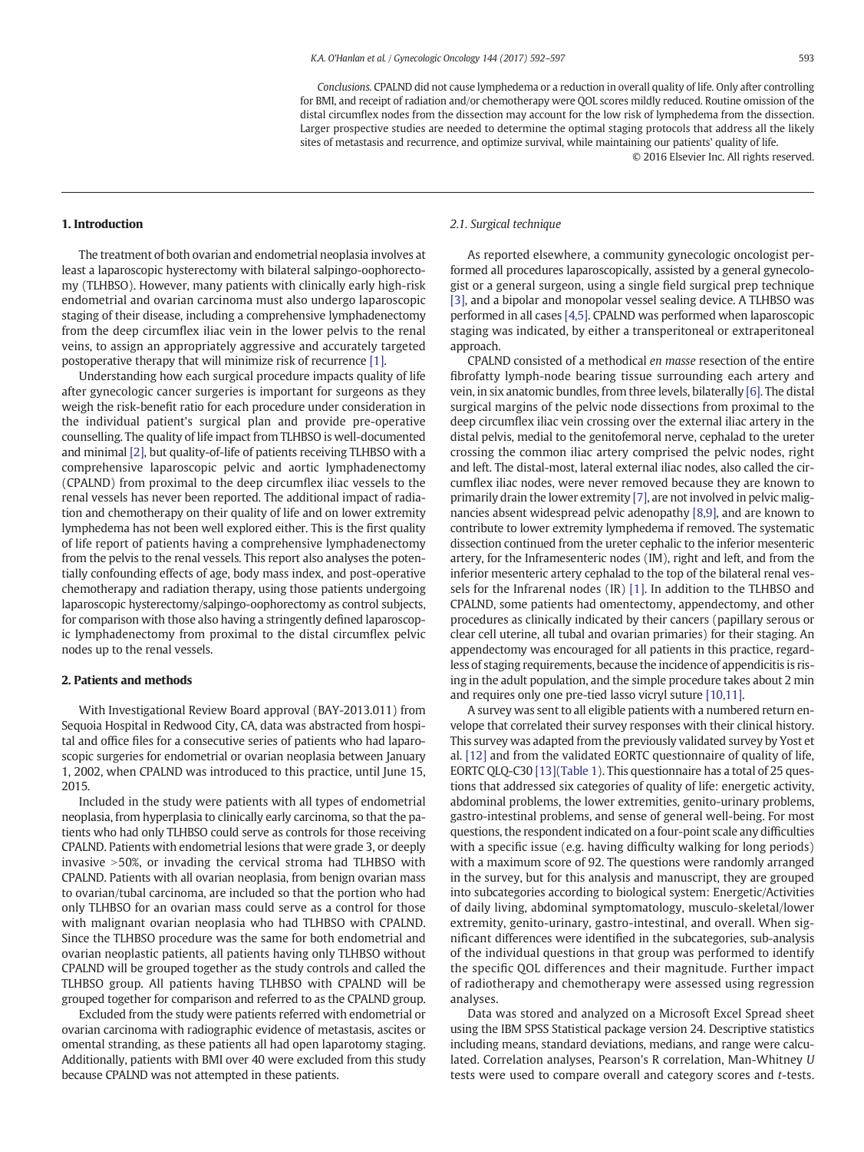Conclusions. CPALND did not cause lymphedema or a reduction in overall quality of life. Only after controlling for BMI, and receipt of radiation and/or chemotherapy were QOL scores mildly reduced. Routine omission of the distal circumflex nodes from the dissection may account for the low risk of lymphedema from the dissection. Larger prospective studies are needed to determine the optimal staging protocols that address all the likely sites of metastasis and recurrence, and optimize survival, while maintaining our patients' quality of life.

© 2016 Elsevier Inc. All rights reserved.

#### 1. Introduction

The treatment of both ovarian and endometrial neoplasia involves at least a laparoscopic hysterectomy with bilateral salpingo-oophorectomy (TLHBSO). However, many patients with clinically early high-risk endometrial and ovarian carcinoma must also undergo laparoscopic staging of their disease, including a comprehensive lymphadenectomy from the deep circumflex iliac vein in the lower pelvis to the renal veins, to assign an appropriately aggressive and accurately targeted postoperative therapy that will minimize risk of recurrence [\[1\].](#page-5-0)

Understanding how each surgical procedure impacts quality of life after gynecologic cancer surgeries is important for surgeons as they weigh the risk-benefit ratio for each procedure under consideration in the individual patient's surgical plan and provide pre-operative counselling. The quality of life impact from TLHBSO is well-documented and minimal [\[2\]](#page-5-0), but quality-of-life of patients receiving TLHBSO with a comprehensive laparoscopic pelvic and aortic lymphadenectomy (CPALND) from proximal to the deep circumflex iliac vessels to the renal vessels has never been reported. The additional impact of radiation and chemotherapy on their quality of life and on lower extremity lymphedema has not been well explored either. This is the first quality of life report of patients having a comprehensive lymphadenectomy from the pelvis to the renal vessels. This report also analyses the potentially confounding effects of age, body mass index, and post-operative chemotherapy and radiation therapy, using those patients undergoing laparoscopic hysterectomy/salpingo-oophorectomy as control subjects, for comparison with those also having a stringently defined laparoscopic lymphadenectomy from proximal to the distal circumflex pelvic nodes up to the renal vessels.

# 2. Patients and methods

With Investigational Review Board approval (BAY-2013.011) from Sequoia Hospital in Redwood City, CA, data was abstracted from hospital and office files for a consecutive series of patients who had laparoscopic surgeries for endometrial or ovarian neoplasia between January 1, 2002, when CPALND was introduced to this practice, until June 15, 2015.

Included in the study were patients with all types of endometrial neoplasia, from hyperplasia to clinically early carcinoma, so that the patients who had only TLHBSO could serve as controls for those receiving CPALND. Patients with endometrial lesions that were grade 3, or deeply invasive N50%, or invading the cervical stroma had TLHBSO with CPALND. Patients with all ovarian neoplasia, from benign ovarian mass to ovarian/tubal carcinoma, are included so that the portion who had only TLHBSO for an ovarian mass could serve as a control for those with malignant ovarian neoplasia who had TLHBSO with CPALND. Since the TLHBSO procedure was the same for both endometrial and ovarian neoplastic patients, all patients having only TLHBSO without CPALND will be grouped together as the study controls and called the TLHBSO group. All patients having TLHBSO with CPALND will be grouped together for comparison and referred to as the CPALND group.

Excluded from the study were patients referred with endometrial or ovarian carcinoma with radiographic evidence of metastasis, ascites or omental stranding, as these patients all had open laparotomy staging. Additionally, patients with BMI over 40 were excluded from this study because CPALND was not attempted in these patients.

#### 2.1. Surgical technique

As reported elsewhere, a community gynecologic oncologist performed all procedures laparoscopically, assisted by a general gynecologist or a general surgeon, using a single field surgical prep technique [\[3\],](#page-5-0) and a bipolar and monopolar vessel sealing device. A TLHBSO was performed in all cases [\[4,5\]](#page-5-0). CPALND was performed when laparoscopic staging was indicated, by either a transperitoneal or extraperitoneal approach.

CPALND consisted of a methodical en masse resection of the entire fibrofatty lymph-node bearing tissue surrounding each artery and vein, in six anatomic bundles, from three levels, bilaterally [\[6\]](#page-5-0). The distal surgical margins of the pelvic node dissections from proximal to the deep circumflex iliac vein crossing over the external iliac artery in the distal pelvis, medial to the genitofemoral nerve, cephalad to the ureter crossing the common iliac artery comprised the pelvic nodes, right and left. The distal-most, lateral external iliac nodes, also called the circumflex iliac nodes, were never removed because they are known to primarily drain the lower extremity [\[7\]](#page-5-0), are not involved in pelvic malignancies absent widespread pelvic adenopathy [\[8,9\],](#page-5-0) and are known to contribute to lower extremity lymphedema if removed. The systematic dissection continued from the ureter cephalic to the inferior mesenteric artery, for the Inframesenteric nodes (IM), right and left, and from the inferior mesenteric artery cephalad to the top of the bilateral renal vessels for the Infrarenal nodes (IR) [\[1\]](#page-5-0). In addition to the TLHBSO and CPALND, some patients had omentectomy, appendectomy, and other procedures as clinically indicated by their cancers (papillary serous or clear cell uterine, all tubal and ovarian primaries) for their staging. An appendectomy was encouraged for all patients in this practice, regardless of staging requirements, because the incidence of appendicitis is rising in the adult population, and the simple procedure takes about 2 min and requires only one pre-tied lasso vicryl suture [\[10,11\].](#page-5-0)

A survey was sent to all eligible patients with a numbered return envelope that correlated their survey responses with their clinical history. This survey was adapted from the previously validated survey by Yost et al. [\[12\]](#page-5-0) and from the validated EORTC questionnaire of quality of life, EORTC QLQ-C30 [\[13\]](#page-5-0)([Table 1\)](#page-2-0). This questionnaire has a total of 25 questions that addressed six categories of quality of life: energetic activity, abdominal problems, the lower extremities, genito-urinary problems, gastro-intestinal problems, and sense of general well-being. For most questions, the respondent indicated on a four-point scale any difficulties with a specific issue (e.g. having difficulty walking for long periods) with a maximum score of 92. The questions were randomly arranged in the survey, but for this analysis and manuscript, they are grouped into subcategories according to biological system: Energetic/Activities of daily living, abdominal symptomatology, musculo-skeletal/lower extremity, genito-urinary, gastro-intestinal, and overall. When significant differences were identified in the subcategories, sub-analysis of the individual questions in that group was performed to identify the specific QOL differences and their magnitude. Further impact of radiotherapy and chemotherapy were assessed using regression analyses.

Data was stored and analyzed on a Microsoft Excel Spread sheet using the IBM SPSS Statistical package version 24. Descriptive statistics including means, standard deviations, medians, and range were calculated. Correlation analyses, Pearson's R correlation, Man-Whitney U tests were used to compare overall and category scores and t-tests.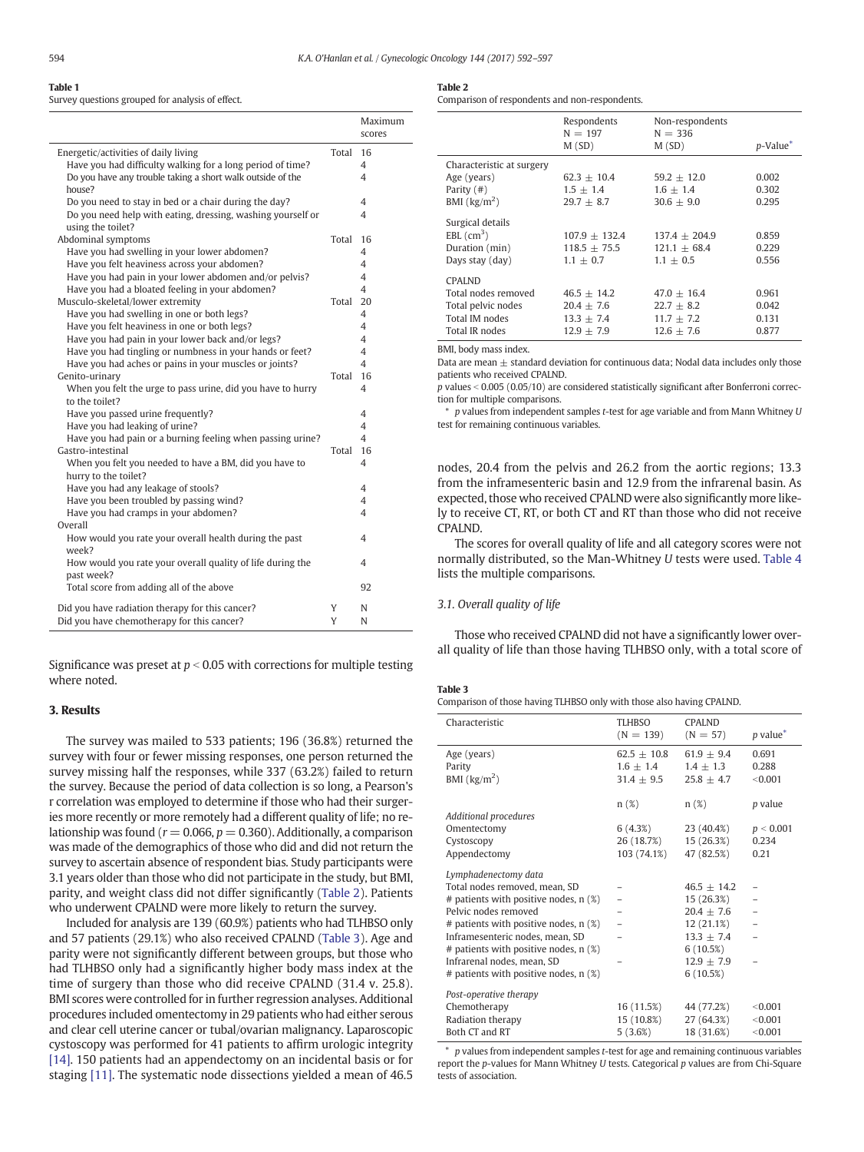## <span id="page-2-0"></span>Table 1

Survey questions grouped for analysis of effect.

|                                                                                 |       | Maximum<br>scores |
|---------------------------------------------------------------------------------|-------|-------------------|
| Energetic/activities of daily living                                            | Total | 16                |
| Have you had difficulty walking for a long period of time?                      |       | 4                 |
| Do you have any trouble taking a short walk outside of the                      |       | 4                 |
| house?                                                                          |       |                   |
| Do you need to stay in bed or a chair during the day?                           |       | 4                 |
| Do you need help with eating, dressing, washing yourself or                     |       | 4                 |
| using the toilet?                                                               |       |                   |
| Abdominal symptoms                                                              | Total | 16                |
| Have you had swelling in your lower abdomen?                                    |       | 4                 |
| Have you felt heaviness across your abdomen?                                    |       | 4                 |
| Have you had pain in your lower abdomen and/or pelvis?                          |       | 4                 |
| Have you had a bloated feeling in your abdomen?                                 |       | 4                 |
| Musculo-skeletal/lower extremity                                                | Total | 20                |
| Have you had swelling in one or both legs?                                      |       | 4                 |
| Have you felt heaviness in one or both legs?                                    |       | 4                 |
| Have you had pain in your lower back and/or legs?                               |       | 4                 |
| Have you had tingling or numbness in your hands or feet?                        |       | 4                 |
| Have you had aches or pains in your muscles or joints?                          |       | 4                 |
| Genito-urinary                                                                  | Total | 16                |
| When you felt the urge to pass urine, did you have to hurry                     |       | 4                 |
| to the toilet?                                                                  |       |                   |
| Have you passed urine frequently?                                               |       | 4                 |
| Have you had leaking of urine?                                                  |       | 4<br>4            |
| Have you had pain or a burning feeling when passing urine?<br>Gastro-intestinal | Total | 16                |
|                                                                                 |       | 4                 |
| When you felt you needed to have a BM, did you have to<br>hurry to the toilet?  |       |                   |
| Have you had any leakage of stools?                                             |       | 4                 |
| Have you been troubled by passing wind?                                         |       | 4                 |
| Have you had cramps in your abdomen?                                            |       | 4                 |
| Overall                                                                         |       |                   |
| How would you rate your overall health during the past                          |       | 4                 |
| week?                                                                           |       |                   |
| How would you rate your overall quality of life during the                      |       | 4                 |
| past week?                                                                      |       |                   |
| Total score from adding all of the above                                        |       | 92                |
|                                                                                 |       |                   |
| Did you have radiation therapy for this cancer?                                 | Υ     | N                 |
| Did you have chemotherapy for this cancer?                                      | Υ     | N                 |

Significance was preset at  $p < 0.05$  with corrections for multiple testing where noted.

# 3. Results

The survey was mailed to 533 patients; 196 (36.8%) returned the survey with four or fewer missing responses, one person returned the survey missing half the responses, while 337 (63.2%) failed to return the survey. Because the period of data collection is so long, a Pearson's r correlation was employed to determine if those who had their surgeries more recently or more remotely had a different quality of life; no relationship was found ( $r = 0.066$ ,  $p = 0.360$ ). Additionally, a comparison was made of the demographics of those who did and did not return the survey to ascertain absence of respondent bias. Study participants were 3.1 years older than those who did not participate in the study, but BMI, parity, and weight class did not differ significantly (Table 2). Patients who underwent CPALND were more likely to return the survey.

Included for analysis are 139 (60.9%) patients who had TLHBSO only and 57 patients (29.1%) who also received CPALND (Table 3). Age and parity were not significantly different between groups, but those who had TLHBSO only had a significantly higher body mass index at the time of surgery than those who did receive CPALND (31.4 v. 25.8). BMI scores were controlled for in further regression analyses. Additional procedures included omentectomy in 29 patients who had either serous and clear cell uterine cancer or tubal/ovarian malignancy. Laparoscopic cystoscopy was performed for 41 patients to affirm urologic integrity [\[14\]](#page-5-0). 150 patients had an appendectomy on an incidental basis or for staging [\[11\]](#page-5-0). The systematic node dissections yielded a mean of 46.5

| $\sim$<br>. . |  |
|---------------|--|
|---------------|--|

Comparison of respondents and non-respondents.

|                                              | Respondents<br>$N = 197$<br>M(SD) | Non-respondents<br>$N = 336$<br>M(SD) | $p$ -Value $*$ |
|----------------------------------------------|-----------------------------------|---------------------------------------|----------------|
| Characteristic at surgery                    |                                   |                                       |                |
| Age (years)                                  | $62.3 \pm 10.4$                   | $59.2 + 12.0$                         | 0.002          |
| Parity $($ # $)$                             | $1.5 + 1.4$                       | $1.6 + 1.4$                           | 0.302          |
| BMI $\left(\frac{kg}{m^2}\right)$            | $29.7 + 8.7$                      | $30.6 + 9.0$                          | 0.295          |
| Surgical details<br>$EBL$ (cm <sup>3</sup> ) | $107.9 + 132.4$                   | $137.4 + 204.9$                       | 0.859          |
| Duration (min)                               | $118.5 + 75.5$                    | $121.1 + 68.4$                        | 0.229          |
| Days stay (day)                              | $1.1 + 0.7$                       | $1.1 + 0.5$                           | 0.556          |
| <b>CPALND</b>                                |                                   |                                       |                |
| Total nodes removed                          | $46.5 + 14.2$                     | $47.0 + 16.4$                         | 0.961          |
| Total pelvic nodes                           | $20.4 + 7.6$                      | $22.7 \pm 8.2$                        | 0.042          |
| Total IM nodes                               | $13.3 \pm 7.4$                    | $11.7 + 7.2$                          | 0.131          |
| Total IR nodes                               | $12.9 + 7.9$                      | $12.6 + 7.6$                          | 0.877          |
|                                              |                                   |                                       |                |

BMI, body mass index.

Data are mean  $+$  standard deviation for continuous data; Nodal data includes only those patients who received CPALND.

 $p$  values  $< 0.005$  (0.05/10) are considered statistically significant after Bonferroni correction for multiple comparisons.

 $*$  p values from independent samples t-test for age variable and from Mann Whitney  $U$ test for remaining continuous variables.

nodes, 20.4 from the pelvis and 26.2 from the aortic regions; 13.3 from the inframesenteric basin and 12.9 from the infrarenal basin. As expected, those who received CPALND were also significantly more likely to receive CT, RT, or both CT and RT than those who did not receive CPALND.

The scores for overall quality of life and all category scores were not normally distributed, so the Man-Whitney U tests were used. [Table 4](#page-3-0) lists the multiple comparisons.

### 3.1. Overall quality of life

Those who received CPALND did not have a significantly lower overall quality of life than those having TLHBSO only, with a total score of

#### Table 3

Comparison of those having TLHBSO only with those also having CPALND.

| Characteristic                                             | <b>TLHBSO</b><br>$(N = 139)$                     | <b>CPALND</b><br>$(N = 57)$                   | $p$ value $*$             |
|------------------------------------------------------------|--------------------------------------------------|-----------------------------------------------|---------------------------|
| Age (years)<br>Parity<br>BMI $\left(\frac{kg}{m^2}\right)$ | $62.5 + 10.8$<br>$1.6 \pm 1.4$<br>$31.4 \pm 9.5$ | $61.9 + 9.4$<br>$1.4 + 1.3$<br>$25.8 \pm 4.7$ | 0.691<br>0.288<br>< 0.001 |
| <b>Additional procedures</b>                               | n(%)                                             | $n(\%)$                                       | p value                   |
| Omentectomy                                                | 6(4.3%)                                          | 23 (40.4%)                                    | p < 0.001                 |
| Cystoscopy                                                 | 26 (18.7%)                                       | 15 (26.3%)                                    | 0.234                     |
| Appendectomy                                               | 103 (74.1%)                                      | 47 (82.5%)                                    | 0.21                      |
| Lymphadenectomy data                                       |                                                  |                                               |                           |
| Total nodes removed, mean, SD                              |                                                  | $46.5 + 14.2$                                 |                           |
| # patients with positive nodes, n (%)                      |                                                  | 15 (26.3%)                                    |                           |
| Pelvic nodes removed                                       |                                                  | $20.4 + 7.6$                                  |                           |
| # patients with positive nodes, n (%)                      |                                                  | 12(21.1%)                                     |                           |
| Inframesenteric nodes, mean, SD                            |                                                  | $13.3 \pm 7.4$                                |                           |
| # patients with positive nodes, n (%)                      |                                                  | 6(10.5%)                                      |                           |
| Infrarenal nodes, mean, SD                                 |                                                  | $12.9 \pm 7.9$                                |                           |
| # patients with positive nodes, n (%)                      |                                                  | 6(10.5%)                                      |                           |
| Post-operative therapy                                     |                                                  |                                               |                           |
| Chemotherapy                                               | 16 (11.5%)                                       | 44 (77.2%)                                    | < 0.001                   |
| Radiation therapy                                          | 15 (10.8%)                                       | 27 (64.3%)                                    | < 0.001                   |
| Both CT and RT                                             | 5(3.6%)                                          | 18 (31.6%)                                    | < 0.001                   |

 $*$  p values from independent samples  $t$ -test for age and remaining continuous variables report the p-values for Mann Whitney  $U$  tests. Categorical  $p$  values are from Chi-Square tests of association.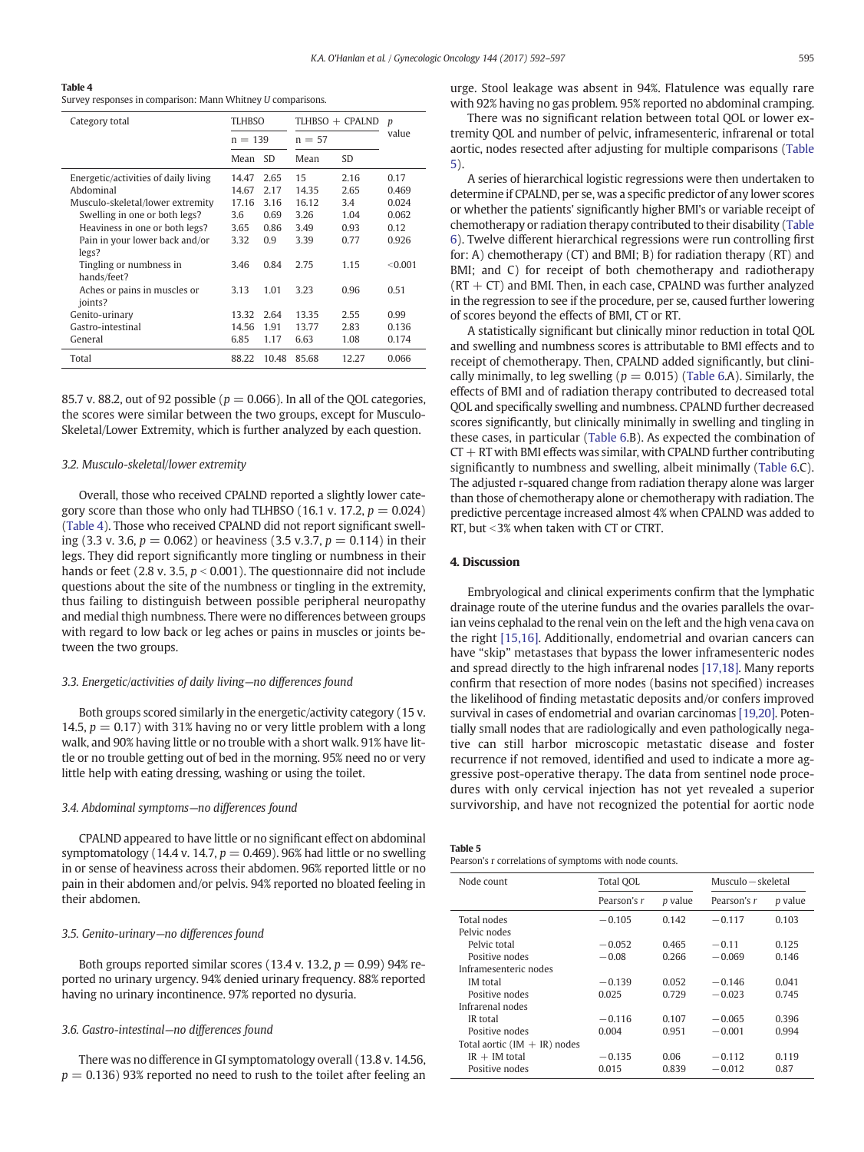<span id="page-3-0"></span>

|--|

|  |  | Survey responses in comparison: Mann Whitney U comparisons. |  |  |  |
|--|--|-------------------------------------------------------------|--|--|--|
|--|--|-------------------------------------------------------------|--|--|--|

| Category total                          | <b>TLHBSO</b> |           | TLHBSO + CPALND |       | $\boldsymbol{p}$ |
|-----------------------------------------|---------------|-----------|-----------------|-------|------------------|
|                                         | $n = 139$     |           | $n = 57$        |       | value            |
|                                         | Mean          | <b>SD</b> | Mean            | SD    |                  |
| Energetic/activities of daily living    | 14.47         | 2.65      | 15              | 2.16  | 0.17             |
| Abdominal                               | 14.67         | 2.17      | 14.35           | 2.65  | 0.469            |
| Musculo-skeletal/lower extremity        | 17.16         | 3.16      | 16.12           | 3.4   | 0.024            |
| Swelling in one or both legs?           | 3.6           | 0.69      | 3.26            | 1.04  | 0.062            |
| Heaviness in one or both legs?          | 3.65          | 0.86      | 3.49            | 0.93  | 0.12             |
| Pain in your lower back and/or<br>legs? | 3.32          | 0.9       | 3.39            | 0.77  | 0.926            |
| Tingling or numbness in<br>hands/feet?  | 3.46          | 0.84      | 2.75            | 1.15  | < 0.001          |
| Aches or pains in muscles or<br>joints? | 3.13          | 1.01      | 3.23            | 0.96  | 0.51             |
| Genito-urinary                          | 13.32         | 2.64      | 13.35           | 2.55  | 0.99             |
| Gastro-intestinal                       | 14.56         | 1.91      | 13.77           | 2.83  | 0.136            |
| General                                 | 6.85          | 1.17      | 6.63            | 1.08  | 0.174            |
| Total                                   | 88.22         | 10.48     | 85.68           | 12.27 | 0.066            |

85.7 v. 88.2, out of 92 possible ( $p = 0.066$ ). In all of the OOL categories, the scores were similar between the two groups, except for Musculo-Skeletal/Lower Extremity, which is further analyzed by each question.

# 3.2. Musculo-skeletal/lower extremity

Overall, those who received CPALND reported a slightly lower category score than those who only had TLHBSO (16.1 v. 17.2,  $p = 0.024$ ) (Table 4). Those who received CPALND did not report significant swelling (3.3 v. 3.6,  $p = 0.062$ ) or heaviness (3.5 v.3.7,  $p = 0.114$ ) in their legs. They did report significantly more tingling or numbness in their hands or feet (2.8 v. 3.5,  $p < 0.001$ ). The questionnaire did not include questions about the site of the numbness or tingling in the extremity, thus failing to distinguish between possible peripheral neuropathy and medial thigh numbness. There were no differences between groups with regard to low back or leg aches or pains in muscles or joints between the two groups.

# 3.3. Energetic/activities of daily living—no differences found

Both groups scored similarly in the energetic/activity category (15 v. 14.5,  $p = 0.17$ ) with 31% having no or very little problem with a long walk, and 90% having little or no trouble with a short walk. 91% have little or no trouble getting out of bed in the morning. 95% need no or very little help with eating dressing, washing or using the toilet.

# 3.4. Abdominal symptoms—no differences found

CPALND appeared to have little or no significant effect on abdominal symptomatology (14.4 v. 14.7,  $p = 0.469$ ). 96% had little or no swelling in or sense of heaviness across their abdomen. 96% reported little or no pain in their abdomen and/or pelvis. 94% reported no bloated feeling in their abdomen.

# 3.5. Genito-urinary—no differences found

Both groups reported similar scores (13.4 v. 13.2,  $p = 0.99$ ) 94% reported no urinary urgency. 94% denied urinary frequency. 88% reported having no urinary incontinence. 97% reported no dysuria.

# 3.6. Gastro-intestinal—no differences found

There was no difference in GI symptomatology overall (13.8 v. 14.56,  $p = 0.136$ ) 93% reported no need to rush to the toilet after feeling an urge. Stool leakage was absent in 94%. Flatulence was equally rare with 92% having no gas problem. 95% reported no abdominal cramping.

There was no significant relation between total QOL or lower extremity QOL and number of pelvic, inframesenteric, infrarenal or total aortic, nodes resected after adjusting for multiple comparisons (Table 5).

A series of hierarchical logistic regressions were then undertaken to determine if CPALND, per se, was a specific predictor of any lower scores or whether the patients' significantly higher BMI's or variable receipt of chemotherapy or radiation therapy contributed to their disability [\(Table](#page-4-0) [6\)](#page-4-0). Twelve different hierarchical regressions were run controlling first for: A) chemotherapy (CT) and BMI; B) for radiation therapy (RT) and BMI; and C) for receipt of both chemotherapy and radiotherapy  $(RT + CT)$  and BMI. Then, in each case, CPALND was further analyzed in the regression to see if the procedure, per se, caused further lowering of scores beyond the effects of BMI, CT or RT.

A statistically significant but clinically minor reduction in total QOL and swelling and numbness scores is attributable to BMI effects and to receipt of chemotherapy. Then, CPALND added significantly, but clinically minimally, to leg swelling ( $p = 0.015$ ) ([Table 6.](#page-4-0)A). Similarly, the effects of BMI and of radiation therapy contributed to decreased total QOL and specifically swelling and numbness. CPALND further decreased scores significantly, but clinically minimally in swelling and tingling in these cases, in particular ([Table 6](#page-4-0).B). As expected the combination of  $CT + RT$  with BMI effects was similar, with CPALND further contributing significantly to numbness and swelling, albeit minimally [\(Table 6.](#page-4-0)C). The adjusted r-squared change from radiation therapy alone was larger than those of chemotherapy alone or chemotherapy with radiation. The predictive percentage increased almost 4% when CPALND was added to RT, but <3% when taken with CT or CTRT.

# 4. Discussion

Embryological and clinical experiments confirm that the lymphatic drainage route of the uterine fundus and the ovaries parallels the ovarian veins cephalad to the renal vein on the left and the high vena cava on the right [\[15,16\]](#page-5-0). Additionally, endometrial and ovarian cancers can have "skip" metastases that bypass the lower inframesenteric nodes and spread directly to the high infrarenal nodes [\[17,18\]](#page-5-0). Many reports confirm that resection of more nodes (basins not specified) increases the likelihood of finding metastatic deposits and/or confers improved survival in cases of endometrial and ovarian carcinomas [\[19,20\]](#page-5-0). Potentially small nodes that are radiologically and even pathologically negative can still harbor microscopic metastatic disease and foster recurrence if not removed, identified and used to indicate a more aggressive post-operative therapy. The data from sentinel node procedures with only cervical injection has not yet revealed a superior survivorship, and have not recognized the potential for aortic node

| . . |  |
|-----|--|
|-----|--|

Pearson's r correlations of symptoms with node counts.

| Node count                     | Total QOL   |         | Musculo – skeletal |                |
|--------------------------------|-------------|---------|--------------------|----------------|
|                                | Pearson's r | p value | Pearson's r        | <i>p</i> value |
| Total nodes                    | $-0.105$    | 0.142   | $-0.117$           | 0.103          |
| Pelvic nodes                   |             |         |                    |                |
| Pelvic total                   | $-0.052$    | 0.465   | $-0.11$            | 0.125          |
| Positive nodes                 | $-0.08$     | 0.266   | $-0.069$           | 0.146          |
| Inframesenteric nodes          |             |         |                    |                |
| <b>IM</b> total                | $-0.139$    | 0.052   | $-0.146$           | 0.041          |
| Positive nodes                 | 0.025       | 0.729   | $-0.023$           | 0.745          |
| Infrarenal nodes               |             |         |                    |                |
| IR total                       | $-0.116$    | 0.107   | $-0.065$           | 0.396          |
| Positive nodes                 | 0.004       | 0.951   | $-0.001$           | 0.994          |
| Total aortic $(IM + IR)$ nodes |             |         |                    |                |
| $IR + IM$ total                | $-0.135$    | 0.06    | $-0.112$           | 0.119          |
| Positive nodes                 | 0.015       | 0.839   | $-0.012$           | 0.87           |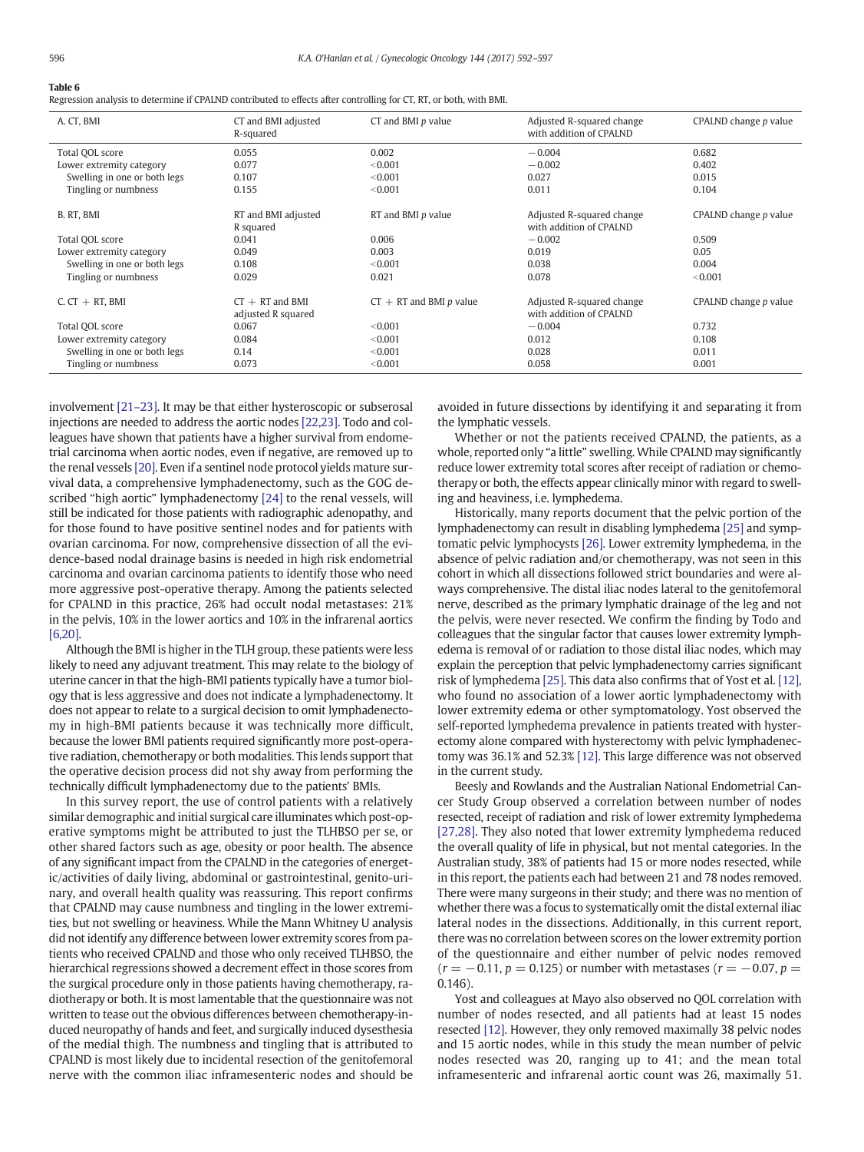<span id="page-4-0"></span>

|--|--|

Regression analysis to determine if CPALND contributed to effects after controlling for CT, RT, or both, with BMI.

| A. CT, BMI                   | CT and BMI adjusted<br>R-squared        | $CT$ and BMI $p$ value    | Adjusted R-squared change<br>with addition of CPALND | CPALND change p value |
|------------------------------|-----------------------------------------|---------------------------|------------------------------------------------------|-----------------------|
| Total QOL score              | 0.055                                   | 0.002                     | $-0.004$                                             | 0.682                 |
| Lower extremity category     | 0.077                                   | < 0.001                   | $-0.002$                                             | 0.402                 |
| Swelling in one or both legs | 0.107                                   | < 0.001                   | 0.027                                                | 0.015                 |
| Tingling or numbness         | 0.155                                   | < 0.001                   | 0.011                                                | 0.104                 |
| B. RT, BMI                   | RT and BMI adjusted<br>R squared        | RT and BMI p value        | Adjusted R-squared change<br>with addition of CPALND | CPALND change p value |
| Total OOL score              | 0.041                                   | 0.006                     | $-0.002$                                             | 0.509                 |
| Lower extremity category     | 0.049                                   | 0.003                     | 0.019                                                | 0.05                  |
| Swelling in one or both legs | 0.108                                   | < 0.001                   | 0.038                                                | 0.004                 |
| Tingling or numbness         | 0.029                                   | 0.021                     | 0.078                                                | < 0.001               |
| $C. CT + RT. BMI$            | $CT + RT$ and BMI<br>adjusted R squared | $CT + RT$ and BMI p value | Adjusted R-squared change<br>with addition of CPALND | CPALND change p value |
| Total OOL score              | 0.067                                   | < 0.001                   | $-0.004$                                             | 0.732                 |
| Lower extremity category     | 0.084                                   | < 0.001                   | 0.012                                                | 0.108                 |
| Swelling in one or both legs | 0.14                                    | < 0.001                   | 0.028                                                | 0.011                 |
| Tingling or numbness         | 0.073                                   | < 0.001                   | 0.058                                                | 0.001                 |

involvement [\[21](#page-5-0)–23]. It may be that either hysteroscopic or subserosal injections are needed to address the aortic nodes [\[22,23\].](#page-5-0) Todo and colleagues have shown that patients have a higher survival from endometrial carcinoma when aortic nodes, even if negative, are removed up to the renal vessels [\[20\].](#page-5-0) Even if a sentinel node protocol yields mature survival data, a comprehensive lymphadenectomy, such as the GOG described "high aortic" lymphadenectomy [\[24\]](#page-5-0) to the renal vessels, will still be indicated for those patients with radiographic adenopathy, and for those found to have positive sentinel nodes and for patients with ovarian carcinoma. For now, comprehensive dissection of all the evidence-based nodal drainage basins is needed in high risk endometrial carcinoma and ovarian carcinoma patients to identify those who need more aggressive post-operative therapy. Among the patients selected for CPALND in this practice, 26% had occult nodal metastases: 21% in the pelvis, 10% in the lower aortics and 10% in the infrarenal aortics [\[6,20\]](#page-5-0).

Although the BMI is higher in the TLH group, these patients were less likely to need any adjuvant treatment. This may relate to the biology of uterine cancer in that the high-BMI patients typically have a tumor biology that is less aggressive and does not indicate a lymphadenectomy. It does not appear to relate to a surgical decision to omit lymphadenectomy in high-BMI patients because it was technically more difficult, because the lower BMI patients required significantly more post-operative radiation, chemotherapy or both modalities. This lends support that the operative decision process did not shy away from performing the technically difficult lymphadenectomy due to the patients' BMIs.

In this survey report, the use of control patients with a relatively similar demographic and initial surgical care illuminates which post-operative symptoms might be attributed to just the TLHBSO per se, or other shared factors such as age, obesity or poor health. The absence of any significant impact from the CPALND in the categories of energetic/activities of daily living, abdominal or gastrointestinal, genito-urinary, and overall health quality was reassuring. This report confirms that CPALND may cause numbness and tingling in the lower extremities, but not swelling or heaviness. While the Mann Whitney U analysis did not identify any difference between lower extremity scores from patients who received CPALND and those who only received TLHBSO, the hierarchical regressions showed a decrement effect in those scores from the surgical procedure only in those patients having chemotherapy, radiotherapy or both. It is most lamentable that the questionnaire was not written to tease out the obvious differences between chemotherapy-induced neuropathy of hands and feet, and surgically induced dysesthesia of the medial thigh. The numbness and tingling that is attributed to CPALND is most likely due to incidental resection of the genitofemoral nerve with the common iliac inframesenteric nodes and should be avoided in future dissections by identifying it and separating it from the lymphatic vessels.

Whether or not the patients received CPALND, the patients, as a whole, reported only "a little" swelling. While CPALND may significantly reduce lower extremity total scores after receipt of radiation or chemotherapy or both, the effects appear clinically minor with regard to swelling and heaviness, i.e. lymphedema.

Historically, many reports document that the pelvic portion of the lymphadenectomy can result in disabling lymphedema [\[25\]](#page-5-0) and symptomatic pelvic lymphocysts [\[26\].](#page-5-0) Lower extremity lymphedema, in the absence of pelvic radiation and/or chemotherapy, was not seen in this cohort in which all dissections followed strict boundaries and were always comprehensive. The distal iliac nodes lateral to the genitofemoral nerve, described as the primary lymphatic drainage of the leg and not the pelvis, were never resected. We confirm the finding by Todo and colleagues that the singular factor that causes lower extremity lymphedema is removal of or radiation to those distal iliac nodes, which may explain the perception that pelvic lymphadenectomy carries significant risk of lymphedema [\[25\].](#page-5-0) This data also confirms that of Yost et al. [\[12\],](#page-5-0) who found no association of a lower aortic lymphadenectomy with lower extremity edema or other symptomatology. Yost observed the self-reported lymphedema prevalence in patients treated with hysterectomy alone compared with hysterectomy with pelvic lymphadenectomy was 36.1% and 52.3% [\[12\]](#page-5-0). This large difference was not observed in the current study.

Beesly and Rowlands and the Australian National Endometrial Cancer Study Group observed a correlation between number of nodes resected, receipt of radiation and risk of lower extremity lymphedema [\[27,28\].](#page-5-0) They also noted that lower extremity lymphedema reduced the overall quality of life in physical, but not mental categories. In the Australian study, 38% of patients had 15 or more nodes resected, while in this report, the patients each had between 21 and 78 nodes removed. There were many surgeons in their study; and there was no mention of whether there was a focus to systematically omit the distal external iliac lateral nodes in the dissections. Additionally, in this current report, there was no correlation between scores on the lower extremity portion of the questionnaire and either number of pelvic nodes removed  $(r = -0.11, p = 0.125)$  or number with metastases  $(r = -0.07, p = 0.075)$ 0.146).

Yost and colleagues at Mayo also observed no QOL correlation with number of nodes resected, and all patients had at least 15 nodes resected [\[12\].](#page-5-0) However, they only removed maximally 38 pelvic nodes and 15 aortic nodes, while in this study the mean number of pelvic nodes resected was 20, ranging up to 41; and the mean total inframesenteric and infrarenal aortic count was 26, maximally 51.